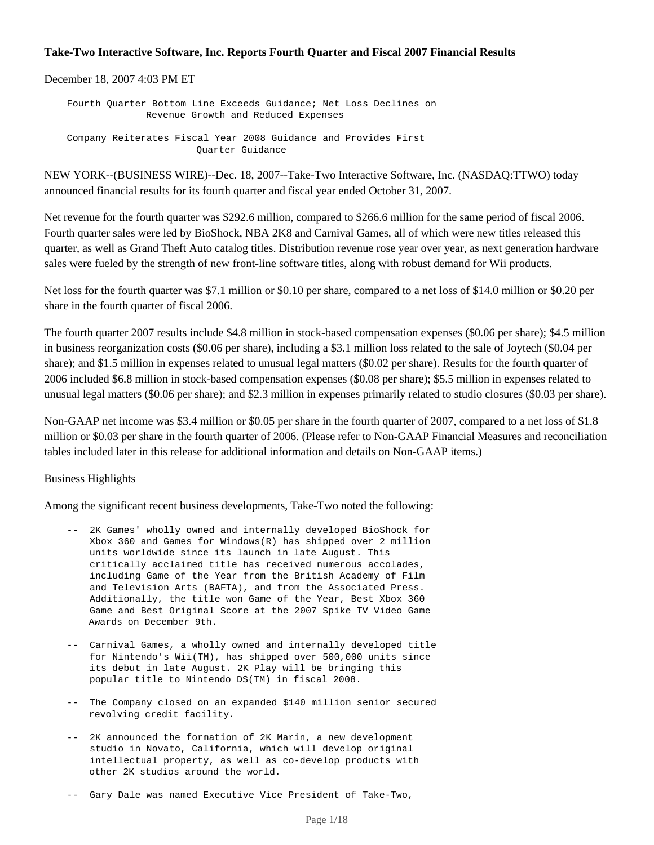#### **Take-Two Interactive Software, Inc. Reports Fourth Quarter and Fiscal 2007 Financial Results**

December 18, 2007 4:03 PM ET

 Fourth Quarter Bottom Line Exceeds Guidance; Net Loss Declines on Revenue Growth and Reduced Expenses Company Reiterates Fiscal Year 2008 Guidance and Provides First Quarter Guidance

NEW YORK--(BUSINESS WIRE)--Dec. 18, 2007--Take-Two Interactive Software, Inc. (NASDAQ:TTWO) today announced financial results for its fourth quarter and fiscal year ended October 31, 2007.

Net revenue for the fourth quarter was \$292.6 million, compared to \$266.6 million for the same period of fiscal 2006. Fourth quarter sales were led by BioShock, NBA 2K8 and Carnival Games, all of which were new titles released this quarter, as well as Grand Theft Auto catalog titles. Distribution revenue rose year over year, as next generation hardware sales were fueled by the strength of new front-line software titles, along with robust demand for Wii products.

Net loss for the fourth quarter was \$7.1 million or \$0.10 per share, compared to a net loss of \$14.0 million or \$0.20 per share in the fourth quarter of fiscal 2006.

The fourth quarter 2007 results include \$4.8 million in stock-based compensation expenses (\$0.06 per share); \$4.5 million in business reorganization costs (\$0.06 per share), including a \$3.1 million loss related to the sale of Joytech (\$0.04 per share); and \$1.5 million in expenses related to unusual legal matters (\$0.02 per share). Results for the fourth quarter of 2006 included \$6.8 million in stock-based compensation expenses (\$0.08 per share); \$5.5 million in expenses related to unusual legal matters (\$0.06 per share); and \$2.3 million in expenses primarily related to studio closures (\$0.03 per share).

Non-GAAP net income was \$3.4 million or \$0.05 per share in the fourth quarter of 2007, compared to a net loss of \$1.8 million or \$0.03 per share in the fourth quarter of 2006. (Please refer to Non-GAAP Financial Measures and reconciliation tables included later in this release for additional information and details on Non-GAAP items.)

#### Business Highlights

Among the significant recent business developments, Take-Two noted the following:

- -- 2K Games' wholly owned and internally developed BioShock for Xbox 360 and Games for Windows(R) has shipped over 2 million units worldwide since its launch in late August. This critically acclaimed title has received numerous accolades, including Game of the Year from the British Academy of Film and Television Arts (BAFTA), and from the Associated Press. Additionally, the title won Game of the Year, Best Xbox 360 Game and Best Original Score at the 2007 Spike TV Video Game Awards on December 9th.
- -- Carnival Games, a wholly owned and internally developed title for Nintendo's Wii(TM), has shipped over 500,000 units since its debut in late August. 2K Play will be bringing this popular title to Nintendo DS(TM) in fiscal 2008.
- -- The Company closed on an expanded \$140 million senior secured revolving credit facility.
- -- 2K announced the formation of 2K Marin, a new development studio in Novato, California, which will develop original intellectual property, as well as co-develop products with other 2K studios around the world.
- -- Gary Dale was named Executive Vice President of Take-Two,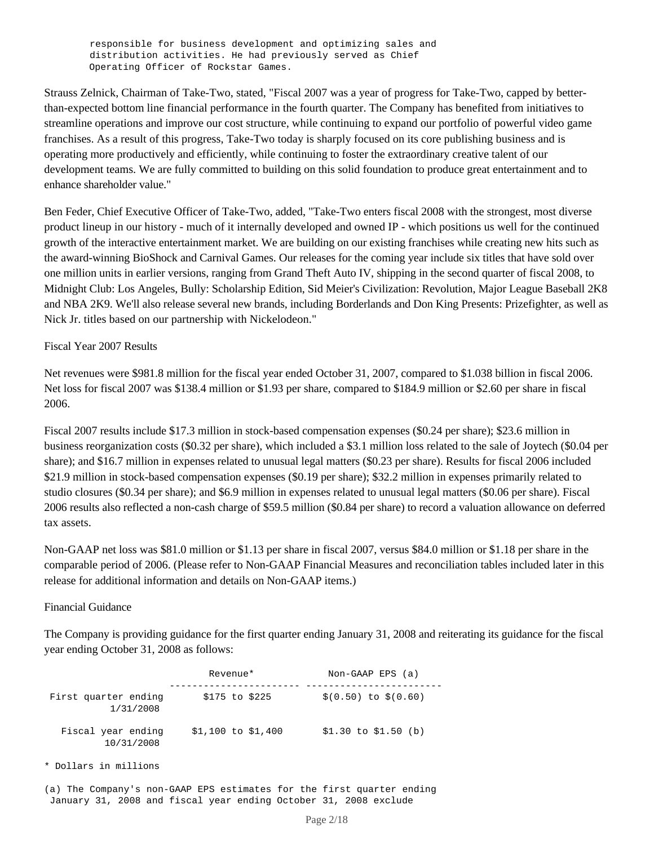responsible for business development and optimizing sales and distribution activities. He had previously served as Chief Operating Officer of Rockstar Games.

Strauss Zelnick, Chairman of Take-Two, stated, "Fiscal 2007 was a year of progress for Take-Two, capped by betterthan-expected bottom line financial performance in the fourth quarter. The Company has benefited from initiatives to streamline operations and improve our cost structure, while continuing to expand our portfolio of powerful video game franchises. As a result of this progress, Take-Two today is sharply focused on its core publishing business and is operating more productively and efficiently, while continuing to foster the extraordinary creative talent of our development teams. We are fully committed to building on this solid foundation to produce great entertainment and to enhance shareholder value."

Ben Feder, Chief Executive Officer of Take-Two, added, "Take-Two enters fiscal 2008 with the strongest, most diverse product lineup in our history - much of it internally developed and owned IP - which positions us well for the continued growth of the interactive entertainment market. We are building on our existing franchises while creating new hits such as the award-winning BioShock and Carnival Games. Our releases for the coming year include six titles that have sold over one million units in earlier versions, ranging from Grand Theft Auto IV, shipping in the second quarter of fiscal 2008, to Midnight Club: Los Angeles, Bully: Scholarship Edition, Sid Meier's Civilization: Revolution, Major League Baseball 2K8 and NBA 2K9. We'll also release several new brands, including Borderlands and Don King Presents: Prizefighter, as well as Nick Jr. titles based on our partnership with Nickelodeon."

## Fiscal Year 2007 Results

Net revenues were \$981.8 million for the fiscal year ended October 31, 2007, compared to \$1.038 billion in fiscal 2006. Net loss for fiscal 2007 was \$138.4 million or \$1.93 per share, compared to \$184.9 million or \$2.60 per share in fiscal 2006.

Fiscal 2007 results include \$17.3 million in stock-based compensation expenses (\$0.24 per share); \$23.6 million in business reorganization costs (\$0.32 per share), which included a \$3.1 million loss related to the sale of Joytech (\$0.04 per share); and \$16.7 million in expenses related to unusual legal matters (\$0.23 per share). Results for fiscal 2006 included \$21.9 million in stock-based compensation expenses (\$0.19 per share); \$32.2 million in expenses primarily related to studio closures (\$0.34 per share); and \$6.9 million in expenses related to unusual legal matters (\$0.06 per share). Fiscal 2006 results also reflected a non-cash charge of \$59.5 million (\$0.84 per share) to record a valuation allowance on deferred tax assets.

Non-GAAP net loss was \$81.0 million or \$1.13 per share in fiscal 2007, versus \$84.0 million or \$1.18 per share in the comparable period of 2006. (Please refer to Non-GAAP Financial Measures and reconciliation tables included later in this release for additional information and details on Non-GAAP items.)

## Financial Guidance

The Company is providing guidance for the first quarter ending January 31, 2008 and reiterating its guidance for the fiscal year ending October 31, 2008 as follows:

|                                   | Revenue*             | $Non-GMAP EPS (a)$     |
|-----------------------------------|----------------------|------------------------|
| First quarter ending<br>1/31/2008 | $$175$ to $$225$     | $$(0.50)$ to $$(0.60)$ |
| Fiscal year ending<br>10/31/2008  | $$1,100$ to $$1,400$ | $$1.30$ to $$1.50$ (b) |

\* Dollars in millions

(a) The Company's non-GAAP EPS estimates for the first quarter ending January 31, 2008 and fiscal year ending October 31, 2008 exclude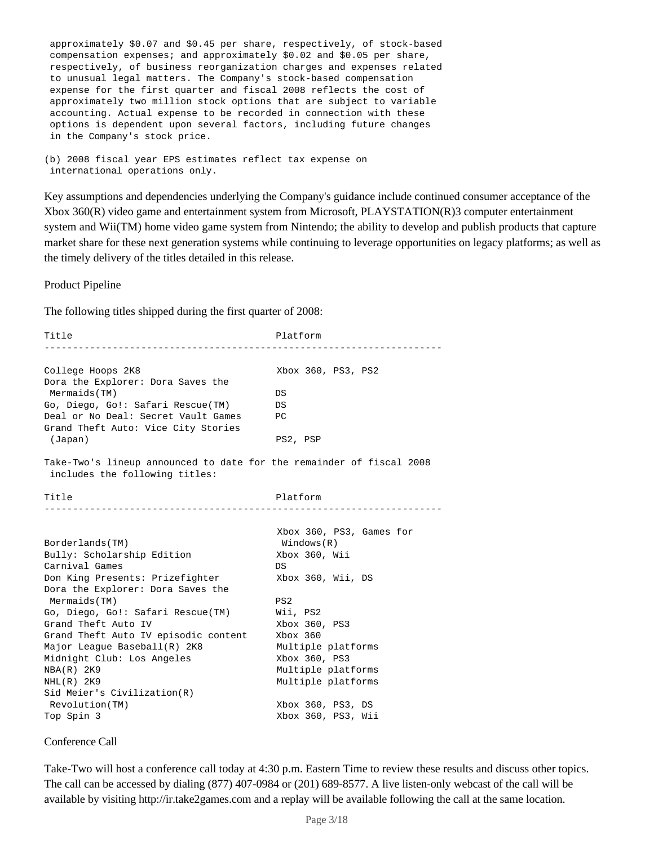approximately \$0.07 and \$0.45 per share, respectively, of stock-based compensation expenses; and approximately \$0.02 and \$0.05 per share, respectively, of business reorganization charges and expenses related to unusual legal matters. The Company's stock-based compensation expense for the first quarter and fiscal 2008 reflects the cost of approximately two million stock options that are subject to variable accounting. Actual expense to be recorded in connection with these options is dependent upon several factors, including future changes in the Company's stock price.

(b) 2008 fiscal year EPS estimates reflect tax expense on international operations only.

Key assumptions and dependencies underlying the Company's guidance include continued consumer acceptance of the Xbox 360(R) video game and entertainment system from Microsoft, PLAYSTATION(R)3 computer entertainment system and Wii(TM) home video game system from Nintendo; the ability to develop and publish products that capture market share for these next generation systems while continuing to leverage opportunities on legacy platforms; as well as the timely delivery of the titles detailed in this release.

Product Pipeline

The following titles shipped during the first quarter of 2008:

Title Platform Platform ----------------------------------------------------------------------College Hoops 2K8 Xbox 360, PS3, PS2 Dora the Explorer: Dora Saves the Mermaids(TM) DS Go, Diego, Go!: Safari Rescue(TM) DS Deal or No Deal: Secret Vault Games PC Grand Theft Auto: Vice City Stories (Japan) PS2, PSP Take-Two's lineup announced to date for the remainder of fiscal 2008 includes the following titles: Title Platform ---------------------------------------------------------------------- Xbox 360, PS3, Games for Borderlands(TM) Windows(R) Bully: Scholarship Edition Carnival Games DS Don King Presents: Prizefighter Xbox 360, Wii, DS Dora the Explorer: Dora Saves the Mermaids(TM) PS2 Go, Diego, Go!: Safari Rescue(TM) Wii, PS2 Grand Theft Auto IV Xbox 360, PS3 Grand Theft Auto IV episodic content Xbox 360 Major League Baseball(R) 2K8 Multiple platforms Major League Baseball(R) 2K8<br>Major League Baseball(R) 2K8 Multiple plat:<br>Midnight Club: Los Angeles Xbox 360, PS3 NBA(R) 2K9 Multiple platforms NHL(R) 2K9 Multiple platforms Sid Meier's Civilization(R) Revolution(TM) Xbox 360, PS3, DS Top Spin 3 Xbox 360, PS3, Wii

Conference Call

Take-Two will host a conference call today at 4:30 p.m. Eastern Time to review these results and discuss other topics. The call can be accessed by dialing (877) 407-0984 or (201) 689-8577. A live listen-only webcast of the call will be available by visiting http://ir.take2games.com and a replay will be available following the call at the same location.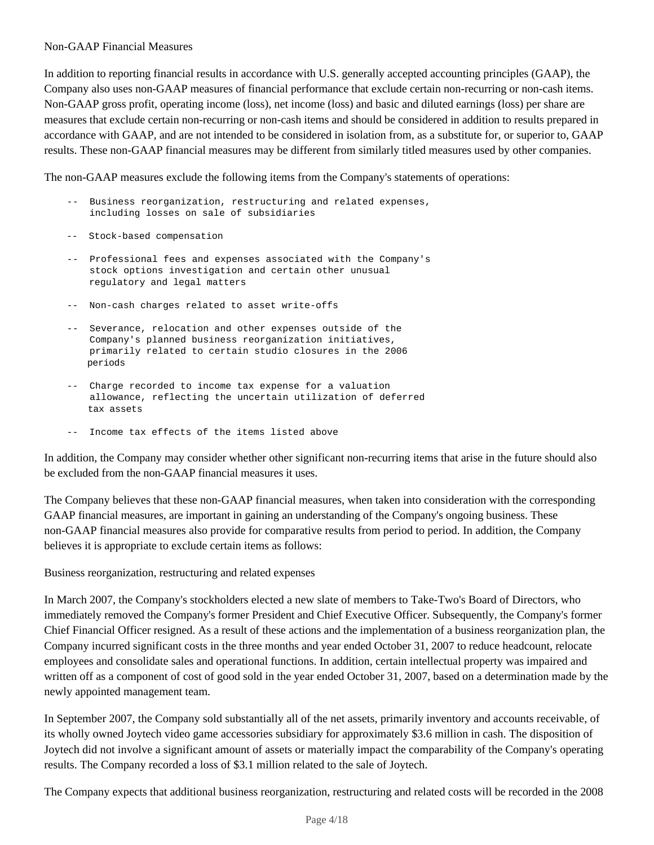## Non-GAAP Financial Measures

In addition to reporting financial results in accordance with U.S. generally accepted accounting principles (GAAP), the Company also uses non-GAAP measures of financial performance that exclude certain non-recurring or non-cash items. Non-GAAP gross profit, operating income (loss), net income (loss) and basic and diluted earnings (loss) per share are measures that exclude certain non-recurring or non-cash items and should be considered in addition to results prepared in accordance with GAAP, and are not intended to be considered in isolation from, as a substitute for, or superior to, GAAP results. These non-GAAP financial measures may be different from similarly titled measures used by other companies.

The non-GAAP measures exclude the following items from the Company's statements of operations:

- -- Business reorganization, restructuring and related expenses, including losses on sale of subsidiaries
- -- Stock-based compensation
- -- Professional fees and expenses associated with the Company's stock options investigation and certain other unusual regulatory and legal matters
- -- Non-cash charges related to asset write-offs
- -- Severance, relocation and other expenses outside of the Company's planned business reorganization initiatives, primarily related to certain studio closures in the 2006 periods
- -- Charge recorded to income tax expense for a valuation allowance, reflecting the uncertain utilization of deferred tax assets
- -- Income tax effects of the items listed above

In addition, the Company may consider whether other significant non-recurring items that arise in the future should also be excluded from the non-GAAP financial measures it uses.

The Company believes that these non-GAAP financial measures, when taken into consideration with the corresponding GAAP financial measures, are important in gaining an understanding of the Company's ongoing business. These non-GAAP financial measures also provide for comparative results from period to period. In addition, the Company believes it is appropriate to exclude certain items as follows:

Business reorganization, restructuring and related expenses

In March 2007, the Company's stockholders elected a new slate of members to Take-Two's Board of Directors, who immediately removed the Company's former President and Chief Executive Officer. Subsequently, the Company's former Chief Financial Officer resigned. As a result of these actions and the implementation of a business reorganization plan, the Company incurred significant costs in the three months and year ended October 31, 2007 to reduce headcount, relocate employees and consolidate sales and operational functions. In addition, certain intellectual property was impaired and written off as a component of cost of good sold in the year ended October 31, 2007, based on a determination made by the newly appointed management team.

In September 2007, the Company sold substantially all of the net assets, primarily inventory and accounts receivable, of its wholly owned Joytech video game accessories subsidiary for approximately \$3.6 million in cash. The disposition of Joytech did not involve a significant amount of assets or materially impact the comparability of the Company's operating results. The Company recorded a loss of \$3.1 million related to the sale of Joytech.

The Company expects that additional business reorganization, restructuring and related costs will be recorded in the 2008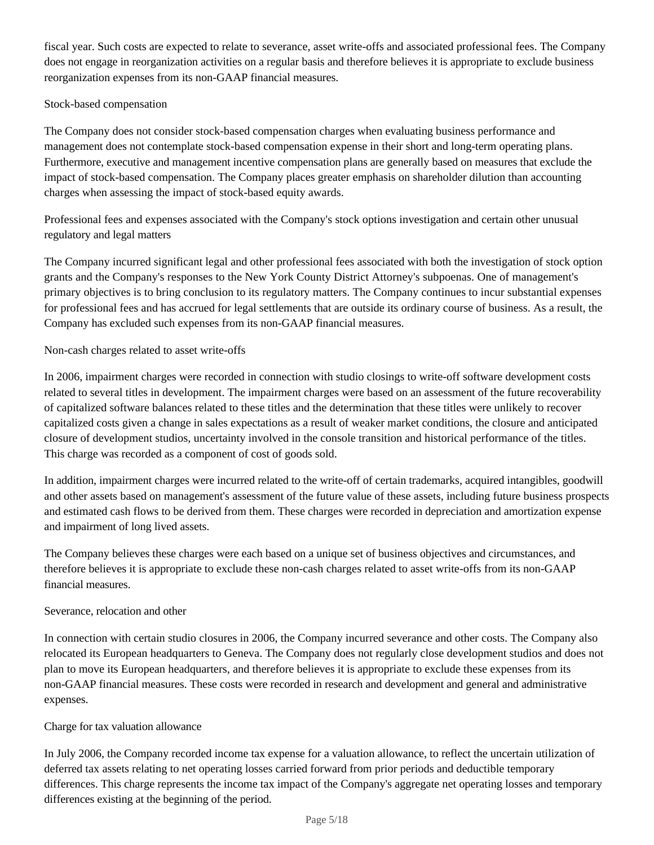fiscal year. Such costs are expected to relate to severance, asset write-offs and associated professional fees. The Company does not engage in reorganization activities on a regular basis and therefore believes it is appropriate to exclude business reorganization expenses from its non-GAAP financial measures.

# Stock-based compensation

The Company does not consider stock-based compensation charges when evaluating business performance and management does not contemplate stock-based compensation expense in their short and long-term operating plans. Furthermore, executive and management incentive compensation plans are generally based on measures that exclude the impact of stock-based compensation. The Company places greater emphasis on shareholder dilution than accounting charges when assessing the impact of stock-based equity awards.

Professional fees and expenses associated with the Company's stock options investigation and certain other unusual regulatory and legal matters

The Company incurred significant legal and other professional fees associated with both the investigation of stock option grants and the Company's responses to the New York County District Attorney's subpoenas. One of management's primary objectives is to bring conclusion to its regulatory matters. The Company continues to incur substantial expenses for professional fees and has accrued for legal settlements that are outside its ordinary course of business. As a result, the Company has excluded such expenses from its non-GAAP financial measures.

Non-cash charges related to asset write-offs

In 2006, impairment charges were recorded in connection with studio closings to write-off software development costs related to several titles in development. The impairment charges were based on an assessment of the future recoverability of capitalized software balances related to these titles and the determination that these titles were unlikely to recover capitalized costs given a change in sales expectations as a result of weaker market conditions, the closure and anticipated closure of development studios, uncertainty involved in the console transition and historical performance of the titles. This charge was recorded as a component of cost of goods sold.

In addition, impairment charges were incurred related to the write-off of certain trademarks, acquired intangibles, goodwill and other assets based on management's assessment of the future value of these assets, including future business prospects and estimated cash flows to be derived from them. These charges were recorded in depreciation and amortization expense and impairment of long lived assets.

The Company believes these charges were each based on a unique set of business objectives and circumstances, and therefore believes it is appropriate to exclude these non-cash charges related to asset write-offs from its non-GAAP financial measures.

## Severance, relocation and other

In connection with certain studio closures in 2006, the Company incurred severance and other costs. The Company also relocated its European headquarters to Geneva. The Company does not regularly close development studios and does not plan to move its European headquarters, and therefore believes it is appropriate to exclude these expenses from its non-GAAP financial measures. These costs were recorded in research and development and general and administrative expenses.

## Charge for tax valuation allowance

In July 2006, the Company recorded income tax expense for a valuation allowance, to reflect the uncertain utilization of deferred tax assets relating to net operating losses carried forward from prior periods and deductible temporary differences. This charge represents the income tax impact of the Company's aggregate net operating losses and temporary differences existing at the beginning of the period.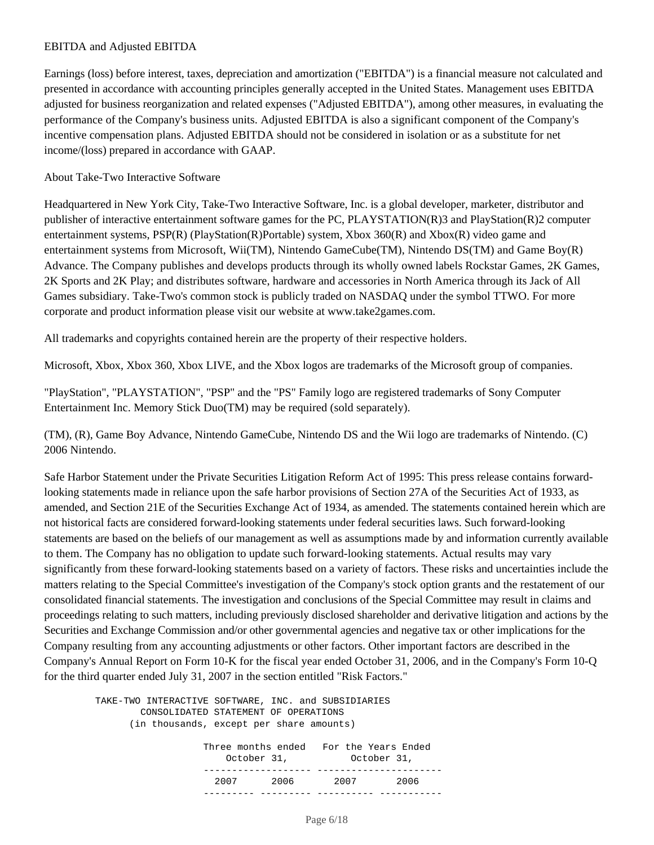# EBITDA and Adjusted EBITDA

Earnings (loss) before interest, taxes, depreciation and amortization ("EBITDA") is a financial measure not calculated and presented in accordance with accounting principles generally accepted in the United States. Management uses EBITDA adjusted for business reorganization and related expenses ("Adjusted EBITDA"), among other measures, in evaluating the performance of the Company's business units. Adjusted EBITDA is also a significant component of the Company's incentive compensation plans. Adjusted EBITDA should not be considered in isolation or as a substitute for net income/(loss) prepared in accordance with GAAP.

#### About Take-Two Interactive Software

Headquartered in New York City, Take-Two Interactive Software, Inc. is a global developer, marketer, distributor and publisher of interactive entertainment software games for the PC, PLAYSTATION(R)3 and PlayStation(R)2 computer entertainment systems, PSP(R) (PlayStation(R)Portable) system, Xbox 360(R) and Xbox(R) video game and entertainment systems from Microsoft, Wii(TM), Nintendo GameCube(TM), Nintendo DS(TM) and Game Boy(R) Advance. The Company publishes and develops products through its wholly owned labels Rockstar Games, 2K Games, 2K Sports and 2K Play; and distributes software, hardware and accessories in North America through its Jack of All Games subsidiary. Take-Two's common stock is publicly traded on NASDAQ under the symbol TTWO. For more corporate and product information please visit our website at www.take2games.com.

All trademarks and copyrights contained herein are the property of their respective holders.

Microsoft, Xbox, Xbox 360, Xbox LIVE, and the Xbox logos are trademarks of the Microsoft group of companies.

"PlayStation", "PLAYSTATION", "PSP" and the "PS" Family logo are registered trademarks of Sony Computer Entertainment Inc. Memory Stick Duo(TM) may be required (sold separately).

(TM), (R), Game Boy Advance, Nintendo GameCube, Nintendo DS and the Wii logo are trademarks of Nintendo. (C) 2006 Nintendo.

Safe Harbor Statement under the Private Securities Litigation Reform Act of 1995: This press release contains forwardlooking statements made in reliance upon the safe harbor provisions of Section 27A of the Securities Act of 1933, as amended, and Section 21E of the Securities Exchange Act of 1934, as amended. The statements contained herein which are not historical facts are considered forward-looking statements under federal securities laws. Such forward-looking statements are based on the beliefs of our management as well as assumptions made by and information currently available to them. The Company has no obligation to update such forward-looking statements. Actual results may vary significantly from these forward-looking statements based on a variety of factors. These risks and uncertainties include the matters relating to the Special Committee's investigation of the Company's stock option grants and the restatement of our consolidated financial statements. The investigation and conclusions of the Special Committee may result in claims and proceedings relating to such matters, including previously disclosed shareholder and derivative litigation and actions by the Securities and Exchange Commission and/or other governmental agencies and negative tax or other implications for the Company resulting from any accounting adjustments or other factors. Other important factors are described in the Company's Annual Report on Form 10-K for the fiscal year ended October 31, 2006, and in the Company's Form 10-Q for the third quarter ended July 31, 2007 in the section entitled "Risk Factors."

 TAKE-TWO INTERACTIVE SOFTWARE, INC. and SUBSIDIARIES CONSOLIDATED STATEMENT OF OPERATIONS (in thousands, except per share amounts) Three months ended For the Years Ended October 31, October 31, ------------------- ----------------------2007 2006 2007 2006

--------- --------- ---------- -----------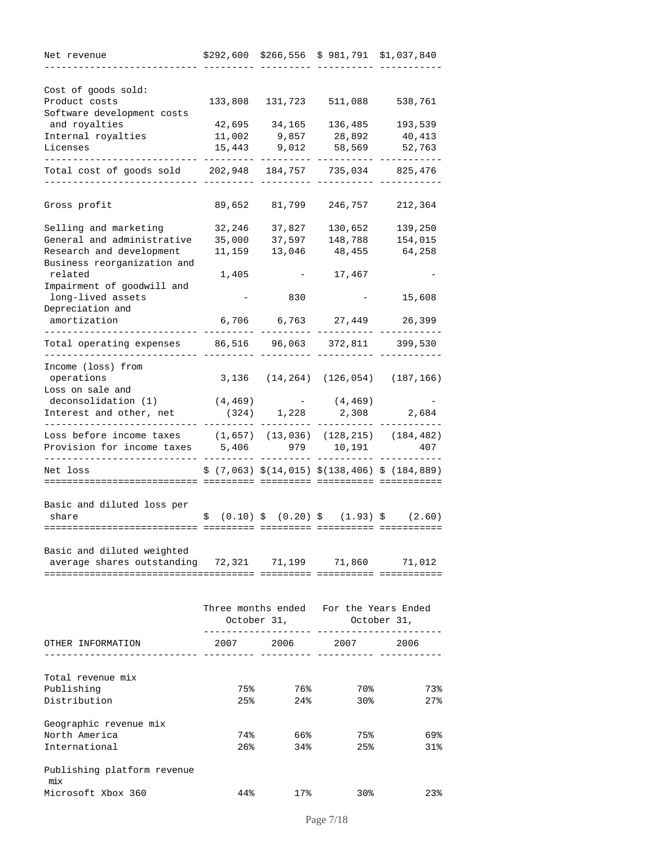| Cost of goods sold:<br>Product costs<br>133,808<br>131,723<br>511,088<br>Software development costs<br>and royalties<br>42,695<br>34,165<br>136,485<br>Internal royalties<br>11,002<br>9,857<br>28,892<br>Licenses<br>15,443<br>9,012<br>58,569<br>Total cost of goods sold<br>202,948<br>735,034<br>184,757<br>825,476<br>Gross profit<br>89,652<br>81,799<br>246,757<br>Selling and marketing<br>32,246<br>37,827<br>130,652<br>139,250<br>General and administrative<br>37,597<br>154,015<br>35,000<br>148,788<br>Research and development<br>11,159<br>48,455<br>13,046<br>Business reorganization and<br>related<br>17,467<br>1,405<br>Impairment of goodwill and<br>long-lived assets<br>830<br>Depreciation and<br>6,706 6,763 27,449<br>amortization<br>Total operating expenses<br>86,516 96,063 372,811 399,530<br>Income (loss) from<br>operations<br>3,136 (14,264) (126,054)<br>(187, 166)<br>Loss on sale and<br>deconsolidation (1)<br>(4, 469)<br>(4, 469)<br>$\mathcal{L}_{\text{max}}$ , and $\mathcal{L}_{\text{max}}$<br>Interest and other, net<br>(324)<br>1,228<br>2,308<br>Loss before income taxes<br>$(1,657)$ $(13,036)$ $(128,215)$ $(184,482)$<br>Provision for income taxes<br>5,406<br>979<br>10,191 | Net revenue | \$292,600 | $$266,556 \$981,791 \$1,037,840$ |             |
|-------------------------------------------------------------------------------------------------------------------------------------------------------------------------------------------------------------------------------------------------------------------------------------------------------------------------------------------------------------------------------------------------------------------------------------------------------------------------------------------------------------------------------------------------------------------------------------------------------------------------------------------------------------------------------------------------------------------------------------------------------------------------------------------------------------------------------------------------------------------------------------------------------------------------------------------------------------------------------------------------------------------------------------------------------------------------------------------------------------------------------------------------------------------------------------------------------------------------------------|-------------|-----------|----------------------------------|-------------|
|                                                                                                                                                                                                                                                                                                                                                                                                                                                                                                                                                                                                                                                                                                                                                                                                                                                                                                                                                                                                                                                                                                                                                                                                                                     |             |           |                                  |             |
|                                                                                                                                                                                                                                                                                                                                                                                                                                                                                                                                                                                                                                                                                                                                                                                                                                                                                                                                                                                                                                                                                                                                                                                                                                     |             |           |                                  |             |
|                                                                                                                                                                                                                                                                                                                                                                                                                                                                                                                                                                                                                                                                                                                                                                                                                                                                                                                                                                                                                                                                                                                                                                                                                                     |             |           |                                  | 538,761     |
|                                                                                                                                                                                                                                                                                                                                                                                                                                                                                                                                                                                                                                                                                                                                                                                                                                                                                                                                                                                                                                                                                                                                                                                                                                     |             |           |                                  | 193,539     |
|                                                                                                                                                                                                                                                                                                                                                                                                                                                                                                                                                                                                                                                                                                                                                                                                                                                                                                                                                                                                                                                                                                                                                                                                                                     |             |           |                                  | 40,413      |
|                                                                                                                                                                                                                                                                                                                                                                                                                                                                                                                                                                                                                                                                                                                                                                                                                                                                                                                                                                                                                                                                                                                                                                                                                                     |             |           |                                  | 52,763      |
|                                                                                                                                                                                                                                                                                                                                                                                                                                                                                                                                                                                                                                                                                                                                                                                                                                                                                                                                                                                                                                                                                                                                                                                                                                     |             |           |                                  |             |
|                                                                                                                                                                                                                                                                                                                                                                                                                                                                                                                                                                                                                                                                                                                                                                                                                                                                                                                                                                                                                                                                                                                                                                                                                                     |             |           |                                  |             |
|                                                                                                                                                                                                                                                                                                                                                                                                                                                                                                                                                                                                                                                                                                                                                                                                                                                                                                                                                                                                                                                                                                                                                                                                                                     |             |           |                                  | 212,364     |
|                                                                                                                                                                                                                                                                                                                                                                                                                                                                                                                                                                                                                                                                                                                                                                                                                                                                                                                                                                                                                                                                                                                                                                                                                                     |             |           |                                  |             |
|                                                                                                                                                                                                                                                                                                                                                                                                                                                                                                                                                                                                                                                                                                                                                                                                                                                                                                                                                                                                                                                                                                                                                                                                                                     |             |           |                                  |             |
|                                                                                                                                                                                                                                                                                                                                                                                                                                                                                                                                                                                                                                                                                                                                                                                                                                                                                                                                                                                                                                                                                                                                                                                                                                     |             |           |                                  | 64,258      |
|                                                                                                                                                                                                                                                                                                                                                                                                                                                                                                                                                                                                                                                                                                                                                                                                                                                                                                                                                                                                                                                                                                                                                                                                                                     |             |           |                                  |             |
|                                                                                                                                                                                                                                                                                                                                                                                                                                                                                                                                                                                                                                                                                                                                                                                                                                                                                                                                                                                                                                                                                                                                                                                                                                     |             |           |                                  |             |
|                                                                                                                                                                                                                                                                                                                                                                                                                                                                                                                                                                                                                                                                                                                                                                                                                                                                                                                                                                                                                                                                                                                                                                                                                                     |             |           |                                  | 15,608      |
|                                                                                                                                                                                                                                                                                                                                                                                                                                                                                                                                                                                                                                                                                                                                                                                                                                                                                                                                                                                                                                                                                                                                                                                                                                     |             |           |                                  | 26,399      |
|                                                                                                                                                                                                                                                                                                                                                                                                                                                                                                                                                                                                                                                                                                                                                                                                                                                                                                                                                                                                                                                                                                                                                                                                                                     |             |           |                                  |             |
|                                                                                                                                                                                                                                                                                                                                                                                                                                                                                                                                                                                                                                                                                                                                                                                                                                                                                                                                                                                                                                                                                                                                                                                                                                     |             |           |                                  |             |
|                                                                                                                                                                                                                                                                                                                                                                                                                                                                                                                                                                                                                                                                                                                                                                                                                                                                                                                                                                                                                                                                                                                                                                                                                                     |             |           |                                  |             |
|                                                                                                                                                                                                                                                                                                                                                                                                                                                                                                                                                                                                                                                                                                                                                                                                                                                                                                                                                                                                                                                                                                                                                                                                                                     |             |           |                                  |             |
|                                                                                                                                                                                                                                                                                                                                                                                                                                                                                                                                                                                                                                                                                                                                                                                                                                                                                                                                                                                                                                                                                                                                                                                                                                     |             |           |                                  |             |
|                                                                                                                                                                                                                                                                                                                                                                                                                                                                                                                                                                                                                                                                                                                                                                                                                                                                                                                                                                                                                                                                                                                                                                                                                                     |             |           |                                  | 2,684       |
|                                                                                                                                                                                                                                                                                                                                                                                                                                                                                                                                                                                                                                                                                                                                                                                                                                                                                                                                                                                                                                                                                                                                                                                                                                     |             |           |                                  |             |
|                                                                                                                                                                                                                                                                                                                                                                                                                                                                                                                                                                                                                                                                                                                                                                                                                                                                                                                                                                                                                                                                                                                                                                                                                                     |             |           |                                  | 407         |
| $$(7,063)$ $$(14,015)$ $$(138,406)$ $$(184,889)$<br>Net loss                                                                                                                                                                                                                                                                                                                                                                                                                                                                                                                                                                                                                                                                                                                                                                                                                                                                                                                                                                                                                                                                                                                                                                        |             |           |                                  |             |
| ===============                                                                                                                                                                                                                                                                                                                                                                                                                                                                                                                                                                                                                                                                                                                                                                                                                                                                                                                                                                                                                                                                                                                                                                                                                     |             |           |                                  | =========== |
| Basic and diluted loss per                                                                                                                                                                                                                                                                                                                                                                                                                                                                                                                                                                                                                                                                                                                                                                                                                                                                                                                                                                                                                                                                                                                                                                                                          |             |           |                                  |             |
| $\frac{1}{2}$ (0.10) $\frac{1}{2}$ (0.20) $\frac{1}{2}$ (1.93) $\frac{1}{2}$ (2.60)<br>share                                                                                                                                                                                                                                                                                                                                                                                                                                                                                                                                                                                                                                                                                                                                                                                                                                                                                                                                                                                                                                                                                                                                        |             |           |                                  |             |
|                                                                                                                                                                                                                                                                                                                                                                                                                                                                                                                                                                                                                                                                                                                                                                                                                                                                                                                                                                                                                                                                                                                                                                                                                                     |             |           |                                  |             |
| Basic and diluted weighted                                                                                                                                                                                                                                                                                                                                                                                                                                                                                                                                                                                                                                                                                                                                                                                                                                                                                                                                                                                                                                                                                                                                                                                                          |             |           |                                  |             |
| average shares outstanding 72,321 71,199 71,860 71,012                                                                                                                                                                                                                                                                                                                                                                                                                                                                                                                                                                                                                                                                                                                                                                                                                                                                                                                                                                                                                                                                                                                                                                              |             |           |                                  |             |
|                                                                                                                                                                                                                                                                                                                                                                                                                                                                                                                                                                                                                                                                                                                                                                                                                                                                                                                                                                                                                                                                                                                                                                                                                                     |             |           |                                  |             |
| Three months ended For the Years Ended                                                                                                                                                                                                                                                                                                                                                                                                                                                                                                                                                                                                                                                                                                                                                                                                                                                                                                                                                                                                                                                                                                                                                                                              |             |           |                                  |             |
| October 31, October 31,                                                                                                                                                                                                                                                                                                                                                                                                                                                                                                                                                                                                                                                                                                                                                                                                                                                                                                                                                                                                                                                                                                                                                                                                             |             |           |                                  |             |
| 2007 2006 2007<br>OTHER INFORMATION<br>2006                                                                                                                                                                                                                                                                                                                                                                                                                                                                                                                                                                                                                                                                                                                                                                                                                                                                                                                                                                                                                                                                                                                                                                                         |             |           |                                  |             |
| .___ _________ __________________                                                                                                                                                                                                                                                                                                                                                                                                                                                                                                                                                                                                                                                                                                                                                                                                                                                                                                                                                                                                                                                                                                                                                                                                   |             |           |                                  |             |
|                                                                                                                                                                                                                                                                                                                                                                                                                                                                                                                                                                                                                                                                                                                                                                                                                                                                                                                                                                                                                                                                                                                                                                                                                                     |             |           |                                  |             |
| Total revenue mix                                                                                                                                                                                                                                                                                                                                                                                                                                                                                                                                                                                                                                                                                                                                                                                                                                                                                                                                                                                                                                                                                                                                                                                                                   |             |           |                                  |             |
| Publishing<br>75%<br>76%<br>70%                                                                                                                                                                                                                                                                                                                                                                                                                                                                                                                                                                                                                                                                                                                                                                                                                                                                                                                                                                                                                                                                                                                                                                                                     |             |           |                                  | 73%         |
| Distribution<br>24%<br>30%<br>25%                                                                                                                                                                                                                                                                                                                                                                                                                                                                                                                                                                                                                                                                                                                                                                                                                                                                                                                                                                                                                                                                                                                                                                                                   |             |           |                                  | $27$ %      |
| Geographic revenue mix                                                                                                                                                                                                                                                                                                                                                                                                                                                                                                                                                                                                                                                                                                                                                                                                                                                                                                                                                                                                                                                                                                                                                                                                              |             |           |                                  |             |
| North America<br>74%<br>66%<br>75%                                                                                                                                                                                                                                                                                                                                                                                                                                                                                                                                                                                                                                                                                                                                                                                                                                                                                                                                                                                                                                                                                                                                                                                                  |             |           |                                  | 69%         |
| International<br>34%<br>25%<br>26%                                                                                                                                                                                                                                                                                                                                                                                                                                                                                                                                                                                                                                                                                                                                                                                                                                                                                                                                                                                                                                                                                                                                                                                                  |             |           |                                  | 31%         |
| Publishing platform revenue                                                                                                                                                                                                                                                                                                                                                                                                                                                                                                                                                                                                                                                                                                                                                                                                                                                                                                                                                                                                                                                                                                                                                                                                         |             |           |                                  |             |
| mix<br>Microsoft Xbox 360<br>$17$ %<br>44%<br>30%                                                                                                                                                                                                                                                                                                                                                                                                                                                                                                                                                                                                                                                                                                                                                                                                                                                                                                                                                                                                                                                                                                                                                                                   |             |           |                                  | 23%         |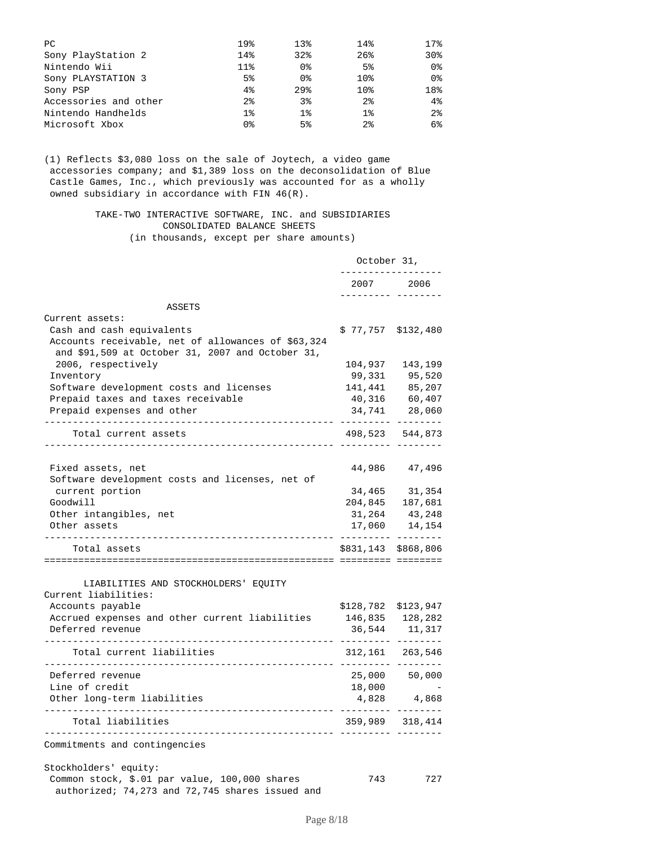| PC                    | 19%             | 13 <sub>8</sub> | 14%             | 17.8           |
|-----------------------|-----------------|-----------------|-----------------|----------------|
| Sony PlayStation 2    | 14%             | 32%             | 26%             | 30%            |
| Nintendo Wii          | 11 <sup>8</sup> | 0 <sub>8</sub>  | 5 <sup>°</sup>  | 0 <sub>8</sub> |
| Sony PLAYSTATION 3    | 5 <sup>8</sup>  | 0 <sub>8</sub>  | 10 <sub>8</sub> | 0 <sub>8</sub> |
| Sony PSP              | 4%              | 29 <sub>8</sub> | 10 <sub>8</sub> | 18%            |
| Accessories and other | $2\,$           | 3%              | 2 <sub>8</sub>  | 4%             |
| Nintendo Handhelds    | $1\%$           | $1\%$           | $1\%$           | 2 <sup>8</sup> |
| Microsoft Xbox        | 0%              | 5 <sup>8</sup>  | $2\,$           | 6%             |

(1) Reflects \$3,080 loss on the sale of Joytech, a video game accessories company; and \$1,389 loss on the deconsolidation of Blue Castle Games, Inc., which previously was accounted for as a wholly owned subsidiary in accordance with FIN 46(R).

#### TAKE-TWO INTERACTIVE SOFTWARE, INC. and SUBSIDIARIES CONSOLIDATED BALANCE SHEETS (in thousands, except per share amounts)

|                                                                                                                                     | October 31,     |                                     |
|-------------------------------------------------------------------------------------------------------------------------------------|-----------------|-------------------------------------|
|                                                                                                                                     | 2007            | 2006                                |
| ASSETS                                                                                                                              |                 | desesses sessess                    |
| Current assets:                                                                                                                     |                 |                                     |
| Cash and cash equivalents<br>Accounts receivable, net of allowances of \$63,324<br>and \$91,509 at October 31, 2007 and October 31, | \$77,757        | \$132,480                           |
| 2006, respectively                                                                                                                  | 104,937         | 143,199                             |
| Inventory                                                                                                                           | 99,331          | 95,520                              |
| Software development costs and licenses                                                                                             | 141,441         | 85,207                              |
| Prepaid taxes and taxes receivable                                                                                                  | 40,316          | 60,407                              |
| Prepaid expenses and other                                                                                                          | 34,741          | 28,060                              |
| Total current assets<br>------------------------------------                                                                        |                 | ------- --------<br>498,523 544,873 |
| Fixed assets, net                                                                                                                   | 44,986          | 47,496                              |
| Software development costs and licenses, net of                                                                                     |                 |                                     |
| current portion                                                                                                                     | 34,465          | 31,354                              |
| Goodwill                                                                                                                            |                 | 204,845 187,681                     |
| Other intangibles, net                                                                                                              | 31,264          | 43,248                              |
| Other assets                                                                                                                        | 17,060          | 14,154                              |
|                                                                                                                                     |                 | . _ _ _ _ _ _ _ _ _ _ _ _ _ _ _     |
| Total assets                                                                                                                        | \$831,143       | \$868,806                           |
|                                                                                                                                     |                 |                                     |
| LIABILITIES AND STOCKHOLDERS' EQUITY<br>Current liabilities:                                                                        |                 |                                     |
| Accounts payable                                                                                                                    | \$128,782       | \$123,947                           |
| Accrued expenses and other current liabilities                                                                                      | 146,835 128,282 |                                     |
| Deferred revenue                                                                                                                    | 36,544          | 11,317                              |
| Total current liabilities                                                                                                           |                 | 312, 161 263, 546<br>.              |
| Deferred revenue                                                                                                                    |                 | 25,000 50,000                       |
| Line of credit                                                                                                                      | 18,000          |                                     |
| Other long-term liabilities<br>----------------------------                                                                         |                 | 4,828 4,868                         |
| -------------------------<br>Total liabilities                                                                                      |                 | 359,989 318,414                     |
| Commitments and contingencies                                                                                                       |                 |                                     |
| Stockholders' equity:                                                                                                               |                 |                                     |
| Common stock, \$.01 par value, 100,000 shares<br>authorized; 74,273 and 72,745 shares issued and                                    | 743             | 727                                 |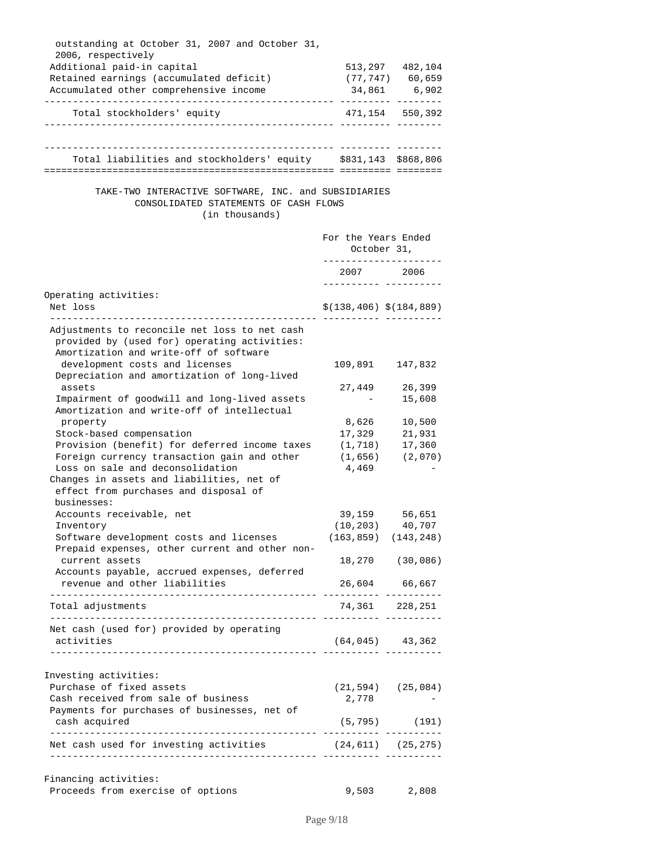| outstanding at October 31, 2007 and October 31,                                                                                         |                         |                                         |
|-----------------------------------------------------------------------------------------------------------------------------------------|-------------------------|-----------------------------------------|
| 2006, respectively<br>Additional paid-in capital                                                                                        |                         |                                         |
| Retained earnings (accumulated deficit)                                                                                                 |                         | 513, 297 482, 104<br>$(77, 747)$ 60,659 |
| Accumulated other comprehensive income                                                                                                  |                         | 34,861 6,902                            |
| Total stockholders' equity                                                                                                              |                         | 471,154 550,392                         |
|                                                                                                                                         |                         |                                         |
| Total liabilities and stockholders' equity 5831,143 \$868,806                                                                           | . <u>.</u> .            |                                         |
|                                                                                                                                         |                         |                                         |
| TAKE-TWO INTERACTIVE SOFTWARE, INC. and SUBSIDIARIES<br>CONSOLIDATED STATEMENTS OF CASH FLOWS<br>(in thousands)                         |                         |                                         |
|                                                                                                                                         | For the Years Ended     | October 31,                             |
|                                                                                                                                         | -------------           | 2007 2006                               |
| Operating activities:                                                                                                                   |                         |                                         |
| Net loss                                                                                                                                |                         | $$(138, 406)$ $$(184, 889)$             |
| Adjustments to reconcile net loss to net cash<br>provided by (used for) operating activities:<br>Amortization and write-off of software |                         |                                         |
| development costs and licenses                                                                                                          |                         | 109,891 147,832                         |
| Depreciation and amortization of long-lived<br>assets                                                                                   | 27,449                  | 26,399                                  |
| Impairment of goodwill and long-lived assets                                                                                            |                         | 15,608                                  |
| Amortization and write-off of intellectual                                                                                              |                         |                                         |
| property                                                                                                                                | 8,626                   | 10,500                                  |
| Stock-based compensation                                                                                                                | 17,329                  | 21,931                                  |
| Provision (benefit) for deferred income taxes                                                                                           | (1, 718)                | 17,360                                  |
| Foreign currency transaction gain and other<br>Loss on sale and deconsolidation                                                         | (1,656)<br>4,469        | (2,070)                                 |
| Changes in assets and liabilities, net of<br>effect from purchases and disposal of                                                      |                         |                                         |
| businesses:                                                                                                                             |                         |                                         |
| Accounts receivable, net<br>Inventory                                                                                                   | 39,159<br>(10, 203)     | 56,651<br>40,707                        |
| Software development costs and licenses                                                                                                 |                         | $(163, 859)$ $(143, 248)$               |
| Prepaid expenses, other current and other non-                                                                                          |                         |                                         |
| current assets<br>Accounts payable, accrued expenses, deferred                                                                          |                         | 18,270 (30,086)                         |
| revenue and other liabilities                                                                                                           |                         | 26,604 66,667                           |
| Total adjustments                                                                                                                       | 74,361 228,251          |                                         |
| Net cash (used for) provided by operating                                                                                               |                         |                                         |
| activities<br>.composition_composition_interaction_composition_composition_interaction_                                                 |                         | $(64, 045)$ $43, 362$                   |
|                                                                                                                                         |                         |                                         |
| Investing activities:                                                                                                                   |                         |                                         |
| Purchase of fixed assets                                                                                                                |                         | $(21, 594)$ $(25, 084)$                 |
| Cash received from sale of business                                                                                                     | 2,778                   |                                         |
| Payments for purchases of businesses, net of<br>cash acquired                                                                           |                         | $(5, 795)$ (191)                        |
| Net cash used for investing activities                                                                                                  | $(24, 611)$ $(25, 275)$ |                                         |
|                                                                                                                                         |                         |                                         |
| Financing activities:                                                                                                                   |                         |                                         |
| Proceeds from exercise of options                                                                                                       | 9,503                   | 2,808                                   |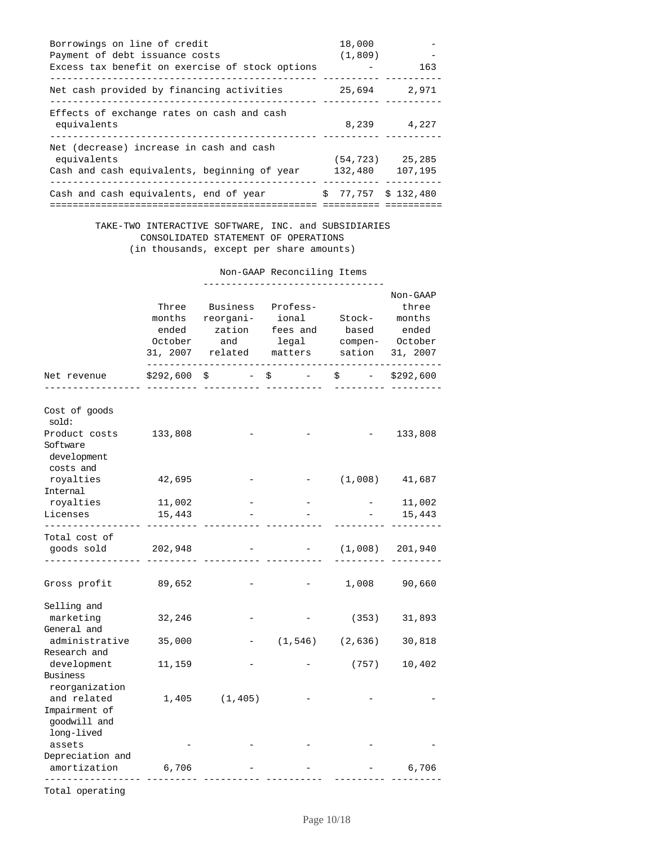| Borrowings on line of credit                    | 18,000                      |                     |
|-------------------------------------------------|-----------------------------|---------------------|
| Payment of debt issuance costs                  | (1, 809)                    |                     |
| Excess tax benefit on exercise of stock options |                             | 163                 |
| Net cash provided by financing activities       | 25,694                      | 2,971               |
| Effects of exchange rates on cash and cash      |                             |                     |
| equivalents                                     | 8,239                       | 4,227               |
| Net (decrease) increase in cash and cash        |                             |                     |
| equivalents                                     |                             | $(54, 723)$ 25, 285 |
| Cash and cash equivalents, beginning of year    | 132,480                     | 107,195             |
| Cash and cash equivalents, end of year          | $$77.757 \text{ } $132.480$ |                     |
|                                                 |                             |                     |

#### TAKE-TWO INTERACTIVE SOFTWARE, INC. and SUBSIDIARIES CONSOLIDATED STATEMENT OF OPERATIONS (in thousands, except per share amounts)

Non-GAAP Reconciling Items

|                                                                                         |                          |                                                                                                           |                                                                                                           |                                              | Non-GAAP       |
|-----------------------------------------------------------------------------------------|--------------------------|-----------------------------------------------------------------------------------------------------------|-----------------------------------------------------------------------------------------------------------|----------------------------------------------|----------------|
|                                                                                         | Three<br>months<br>ended | Business<br>reorgani-<br>zation fees and based<br>October and<br>31, 2007 related matters sation 31, 2007 | Profess-                                                                                                  | ional Stock- months<br>legal compen- October | three<br>ended |
| Net revenue                                                                             |                          | $$292,600 \$$ -                                                                                           | $\begin{array}{ccc} \stackrel{\leftrightarrow}{\sim} & \quad - & \quad \quad - & \quad \quad \end{array}$ |                                              | $$ - $292,600$ |
| Cost of goods<br>sold:<br>Product costs 133,808<br>Software<br>development<br>costs and |                          |                                                                                                           |                                                                                                           |                                              | 133,808        |
| royalties<br>Internal                                                                   | 42,695                   |                                                                                                           |                                                                                                           | $(1,008)$ $41,687$                           |                |
| royalties                                                                               | 11,002                   |                                                                                                           |                                                                                                           |                                              | 11,002         |
| Licenses                                                                                | 15,443                   |                                                                                                           |                                                                                                           |                                              | 15,443         |
| Total cost of<br>goods sold                                                             | 202,948                  |                                                                                                           |                                                                                                           | $-$ (1,008) 201,940                          |                |
| Gross profit                                                                            | 89,652                   |                                                                                                           |                                                                                                           | 1,008                                        | 90,660         |
| Selling and<br>marketing<br>General and                                                 | 32,246                   |                                                                                                           |                                                                                                           | (353)                                        | 31,893         |
| administrative 35,000<br>Research and                                                   |                          |                                                                                                           |                                                                                                           | $(1, 546)$ $(2, 636)$                        | 30,818         |
| development<br>Business<br>reorganization                                               | 11,159                   |                                                                                                           |                                                                                                           | (757)                                        | 10,402         |
| and related<br>Impairment of<br>goodwill and<br>long-lived                              |                          | $1,405$ $(1,405)$                                                                                         |                                                                                                           |                                              |                |
| assets<br>Depreciation and                                                              |                          |                                                                                                           |                                                                                                           |                                              |                |
| amortization                                                                            | 6,706                    |                                                                                                           |                                                                                                           |                                              | 6,706          |

Total operating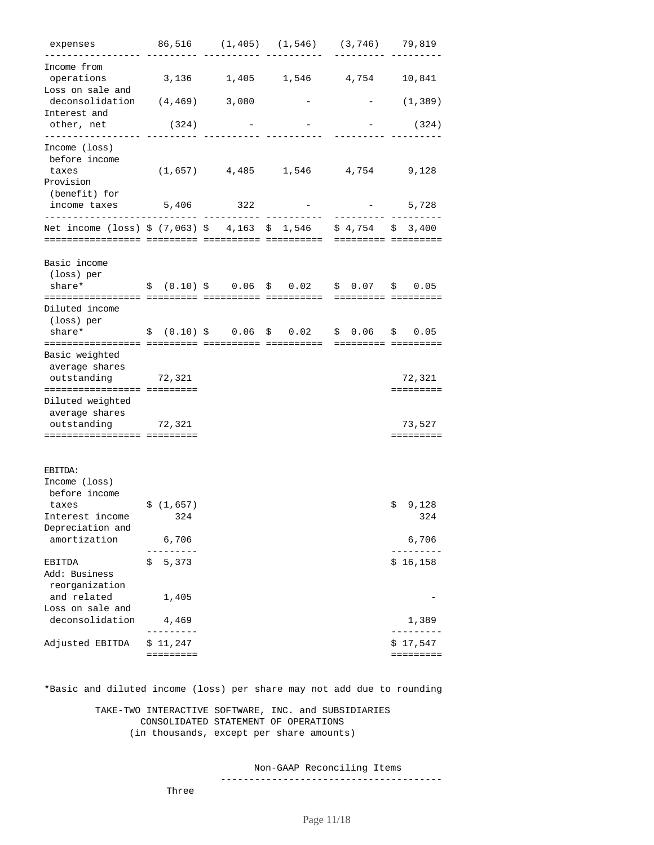| expenses                                                              |                        | 86,516 (1,405) (1,546) (3,746) 79,819     |                 |                          |
|-----------------------------------------------------------------------|------------------------|-------------------------------------------|-----------------|--------------------------|
| Income from<br>operations<br>Loss on sale and                         |                        | 3,136 1,405 1,546 4,754 10,841            |                 |                          |
| deconsolidation (4,469)<br>Interest and                               |                        | 3,080                                     |                 | (1,389)                  |
| other, net<br>----------------                                        | (324)                  |                                           |                 | (324)                    |
| Income (loss)<br>before income<br>taxes<br>Provision<br>(benefit) for |                        | $(1,657)$ 4,485 1,546 4,754 9,128         |                 |                          |
| income taxes<br>------------------------                              | 5,406                  | 322                                       |                 | 5,728                    |
| Net income (loss) $$ (7,063) $ 4,163 $ 1,546 $ 4,754 $ 3,400$         |                        |                                           |                 |                          |
| Basic income<br>(loss) per                                            |                        |                                           |                 |                          |
| share*                                                                |                        | $$(0.10) $$$ 0.06 \$ 0.02 \$ 0.07 \$ 0.05 |                 |                          |
| Diluted income<br>(loss) per<br>share*                                |                        | \$ (0.10) \$ \$ 0.06 \$ 0.02\$            | $$0.06$ $$0.05$ |                          |
|                                                                       |                        |                                           |                 |                          |
| Basic weighted<br>average shares<br>outstanding                       | 72,321                 |                                           |                 | 72,321                   |
| ============================<br>Diluted weighted<br>average shares    |                        |                                           |                 |                          |
| outstanding 72,321                                                    |                        |                                           |                 | 73,527                   |
| ============================                                          |                        |                                           |                 |                          |
| EBITDA:<br>Income (loss)<br>before income                             |                        |                                           |                 |                          |
| taxes                                                                 | \$(1,657)              |                                           |                 | 9,128<br>\$.             |
| Interest income 324<br>Depreciation and                               |                        |                                           |                 | 324                      |
| amortization                                                          | 6,706                  |                                           |                 | 6,706                    |
| EBITDA<br>Add: Business<br>reorganization                             | 5,373<br>\$            |                                           |                 | \$16,158                 |
| and related<br>Loss on sale and<br>deconsolidation                    | 1,405<br>4,469         |                                           |                 | 1,389                    |
|                                                                       |                        |                                           |                 |                          |
| Adjusted EBITDA                                                       | \$ 11,247<br>========= |                                           |                 | 17,547<br>Ş<br>========= |

\*Basic and diluted income (loss) per share may not add due to rounding

 TAKE-TWO INTERACTIVE SOFTWARE, INC. and SUBSIDIARIES CONSOLIDATED STATEMENT OF OPERATIONS (in thousands, except per share amounts)

Non-GAAP Reconciling Items

---------------------------------------

Three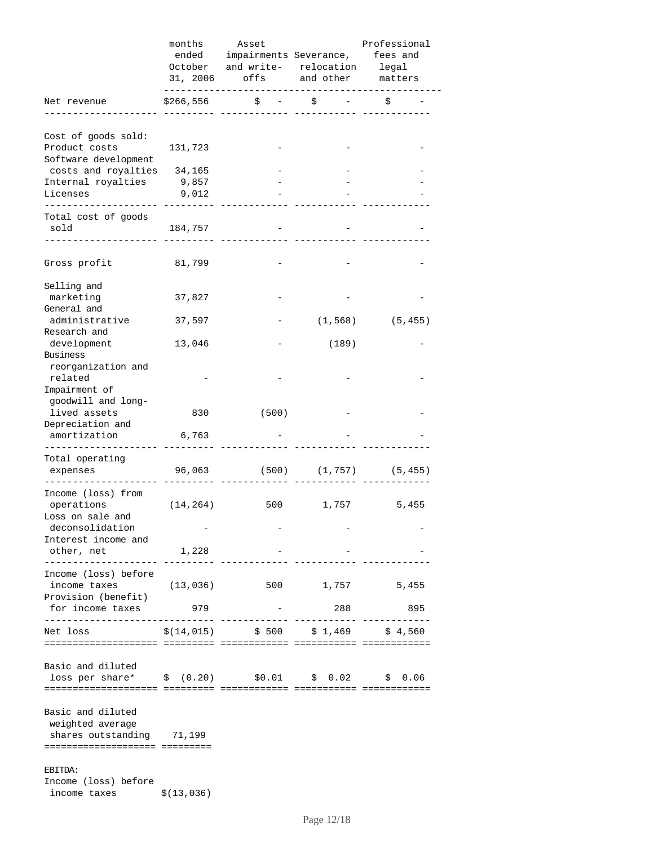|                                                  | months                    | Asset                                 |                        | Professional                |
|--------------------------------------------------|---------------------------|---------------------------------------|------------------------|-----------------------------|
|                                                  | ended                     |                                       | impairments Severance, | fees and                    |
|                                                  |                           | October and write- relocation legal   |                        |                             |
|                                                  |                           | 31, 2006 offs and other matters       |                        |                             |
| Net revenue                                      | . <u>.</u> .<br>\$266,556 | \$                                    | \$                     | \$                          |
|                                                  |                           |                                       |                        |                             |
| Cost of goods sold:                              |                           |                                       |                        |                             |
| Product costs                                    | 131,723                   |                                       |                        |                             |
| Software development                             |                           |                                       |                        |                             |
| costs and royalties                              | 34,165                    |                                       |                        |                             |
| Internal royalties                               | 9,857                     |                                       |                        |                             |
| Licenses                                         | 9,012                     |                                       |                        |                             |
| ------------                                     |                           |                                       |                        |                             |
| Total cost of goods                              |                           |                                       |                        |                             |
| sold                                             | 184,757                   |                                       |                        |                             |
|                                                  |                           |                                       |                        |                             |
|                                                  |                           |                                       |                        |                             |
| Gross profit                                     | 81,799                    |                                       |                        |                             |
| Selling and                                      |                           |                                       |                        |                             |
| marketing                                        | 37,827                    |                                       |                        |                             |
| General and                                      |                           |                                       |                        |                             |
| administrative                                   | 37,597                    |                                       | (1, 568)               | (5, 455)                    |
| Research and                                     |                           |                                       |                        |                             |
| development                                      | 13,046                    |                                       | (189)                  |                             |
| Business                                         |                           |                                       |                        |                             |
| reorganization and                               |                           |                                       |                        |                             |
| related                                          |                           |                                       |                        |                             |
| Impairment of                                    |                           |                                       |                        |                             |
| goodwill and long-                               |                           |                                       |                        |                             |
| lived assets                                     | 830                       | (500)                                 |                        |                             |
| Depreciation and                                 |                           |                                       |                        |                             |
| amortization                                     | 6,763                     |                                       |                        |                             |
| Total operating                                  |                           |                                       |                        |                             |
|                                                  | 96,063                    |                                       |                        | $(500)$ $(1,757)$ $(5,455)$ |
| expenses                                         |                           |                                       |                        |                             |
| Income (loss) from                               |                           |                                       |                        |                             |
| operations                                       | (14, 264)                 | 500                                   | 1,757                  | 5,455                       |
| Loss on sale and                                 |                           |                                       |                        |                             |
| deconsolidation                                  |                           |                                       |                        |                             |
| Interest income and                              |                           |                                       |                        |                             |
| other, net                                       | 1,228                     |                                       |                        |                             |
| . _ _ _ _ _ _ _ _ _ _ _ _ _ _ _                  |                           |                                       |                        |                             |
| Income (loss) before                             |                           |                                       |                        |                             |
| income taxes                                     | (13, 036)                 |                                       | 500 1,757              | 5,455                       |
| Provision (benefit)                              |                           |                                       |                        |                             |
| for income taxes                                 | 979                       |                                       | 288                    | 895                         |
| Net loss                                         |                           | $\frac{1}{2}(14,015)$ \$ 500 \$ 1,469 |                        | \$4.560                     |
|                                                  |                           |                                       |                        |                             |
|                                                  |                           |                                       |                        |                             |
| Basic and diluted                                |                           |                                       |                        |                             |
| loss per share* \$ (0.20) \$0.01 \$ 0.02 \$ 0.06 |                           |                                       |                        |                             |
|                                                  |                           |                                       |                        |                             |
|                                                  |                           |                                       |                        |                             |
| Basic and diluted                                |                           |                                       |                        |                             |
| weighted average                                 |                           |                                       |                        |                             |
| shares outstanding 71,199                        |                           |                                       |                        |                             |
| -------------------- --------                    |                           |                                       |                        |                             |
| EBITDA:                                          |                           |                                       |                        |                             |
| Income (loss) before                             |                           |                                       |                        |                             |
| income taxes                                     | \$(13,036)                |                                       |                        |                             |
|                                                  |                           |                                       |                        |                             |

Page 12/18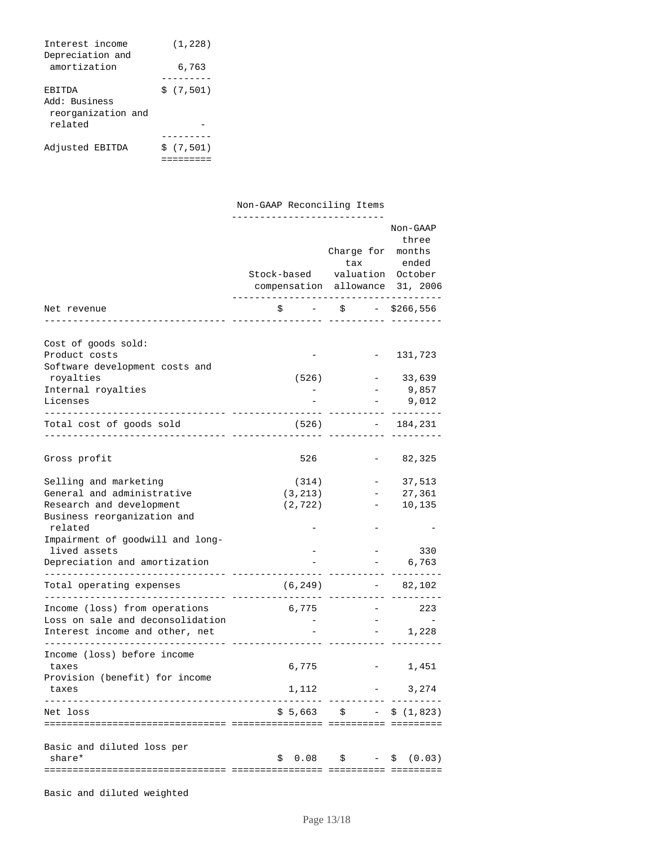| Interest income<br>Depreciation and | (1, 228)  |
|-------------------------------------|-----------|
| amortization                        | 6,763     |
|                                     |           |
| <b>ERITDA</b>                       | \$(7,501) |
| Add: Business<br>reorganization and |           |
| related                             |           |
|                                     |           |
| Adjusted EBITDA                     | \$(7.501) |
|                                     |           |

Non-GAAP Reconciling Items

|                                                                                      | Stock-based valuation October<br>compensation allowance 31, 2006 | Charge for months                   | Non-GAAP<br>three<br>tax ended   |
|--------------------------------------------------------------------------------------|------------------------------------------------------------------|-------------------------------------|----------------------------------|
| Net revenue                                                                          |                                                                  | $\zeta$ – $\zeta$ – $\zeta$ 266,556 |                                  |
|                                                                                      |                                                                  |                                     |                                  |
| Cost of goods sold:<br>Product costs<br>Software development costs and               |                                                                  |                                     | 131,723                          |
| royalties                                                                            | (526)                                                            |                                     | 33,639                           |
| Internal royalties<br>Licenses<br>-------------- ----------<br>. List List List List |                                                                  | $ -$                                | 9,857<br>9,012                   |
| Total cost of goods sold                                                             | (526)                                                            |                                     | $-184,231$                       |
| Gross profit                                                                         | 526                                                              |                                     | 82,325                           |
|                                                                                      |                                                                  |                                     |                                  |
| Selling and marketing                                                                | (314)                                                            |                                     | 37,513                           |
| General and administrative                                                           | (3, 213)                                                         |                                     | 27,361                           |
| Research and development<br>Business reorganization and                              | (2, 722)                                                         |                                     | 10,135                           |
| related<br>Impairment of goodwill and long-                                          |                                                                  |                                     |                                  |
| lived assets                                                                         |                                                                  |                                     | 330                              |
| Depreciation and amortization                                                        |                                                                  |                                     | 6,763                            |
| Total operating expenses<br>__________________________                               | (6, 249)                                                         |                                     | $-82,102$                        |
| Income (loss) from operations                                                        | 6,775                                                            |                                     | 223                              |
| Loss on sale and deconsolidation                                                     |                                                                  |                                     |                                  |
| Interest income and other, net                                                       |                                                                  |                                     | 1,228<br>$\sim 100$ km s $^{-1}$ |
| Income (loss) before income<br>taxes                                                 | 6,775                                                            |                                     | 1,451                            |
| Provision (benefit) for income<br>taxes                                              | 1,112                                                            |                                     | 3,274                            |
| Net loss                                                                             |                                                                  | $$5,663$ $$$ - $$ (1,823)$          |                                  |
|                                                                                      |                                                                  |                                     |                                  |
| Basic and diluted loss per<br>share*                                                 | \$                                                               | $0.08$ \$ - \$                      | (0.03)                           |
|                                                                                      |                                                                  |                                     |                                  |

Basic and diluted weighted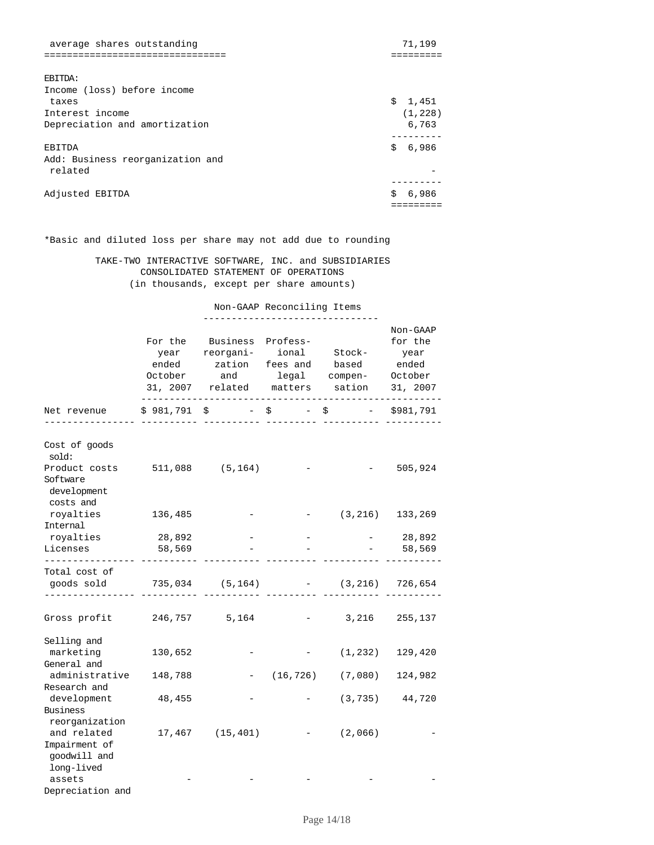| average shares outstanding       |    | 71,199   |
|----------------------------------|----|----------|
|                                  |    |          |
|                                  |    |          |
| <b>EBITDA:</b>                   |    |          |
| Income (loss) before income      |    |          |
| taxes                            |    | \$1,451  |
| Interest income                  |    | (1, 228) |
| Depreciation and amortization    |    | 6,763    |
|                                  |    |          |
| EBITDA                           | Ŝ. | 6,986    |
| Add: Business reorganization and |    |          |
| related                          |    |          |
|                                  |    |          |
| Adjusted EBITDA                  | \$ | 6,986    |
|                                  |    |          |

\*Basic and diluted loss per share may not add due to rounding

 TAKE-TWO INTERACTIVE SOFTWARE, INC. and SUBSIDIARIES CONSOLIDATED STATEMENT OF OPERATIONS (in thousands, except per share amounts)

Non-GAAP Reconciling Items

|                                                                                   |                  | For the Business Profess-<br>year reorgani- ional Stock-<br>ended zation fees and based ended<br>October and legal compen- October<br>31, 2007 related matters sation |                      | Non-GAAP<br>for the<br>year<br>31, 2007 |
|-----------------------------------------------------------------------------------|------------------|-----------------------------------------------------------------------------------------------------------------------------------------------------------------------|----------------------|-----------------------------------------|
| Net revenue                                                                       |                  | $$981,791$ \$ - \$ - \$                                                                                                                                               |                      | $-$ \$981,791                           |
| Cost of goods<br>sold:<br>Product costs 511,088 (5,164)<br>Software               |                  |                                                                                                                                                                       |                      | 505,924                                 |
| development<br>costs and<br>royalties<br>Internal                                 | 136,485          |                                                                                                                                                                       | $-$ (3,216) 133,269  |                                         |
| royalties<br>Licenses                                                             | 28,892<br>58,569 |                                                                                                                                                                       |                      | $-28,892$<br>58,569                     |
| ----------------<br>Total cost of<br>goods sold 735,034 (5,164) - (3,216) 726,654 |                  |                                                                                                                                                                       |                      |                                         |
| Gross profit 246,757 5,164                                                        |                  |                                                                                                                                                                       | 3,216<br>$   -$      | 255,137                                 |
| Selling and<br>marketing<br>General and                                           | 130,652          |                                                                                                                                                                       | (1, 232)             | 129,420                                 |
| administrative<br>Research and                                                    | 148,788          |                                                                                                                                                                       | $-$ (16,726) (7,080) | 124,982                                 |
| development<br>Business<br>reorganization                                         | 48,455           |                                                                                                                                                                       |                      | $(3, 735)$ 44,720                       |
| and related<br>Impairment of<br>qoodwill and<br>long-lived                        |                  | $17,467$ (15,401)                                                                                                                                                     | $-$ (2,066)          |                                         |
| assets<br>Depreciation and                                                        |                  |                                                                                                                                                                       |                      |                                         |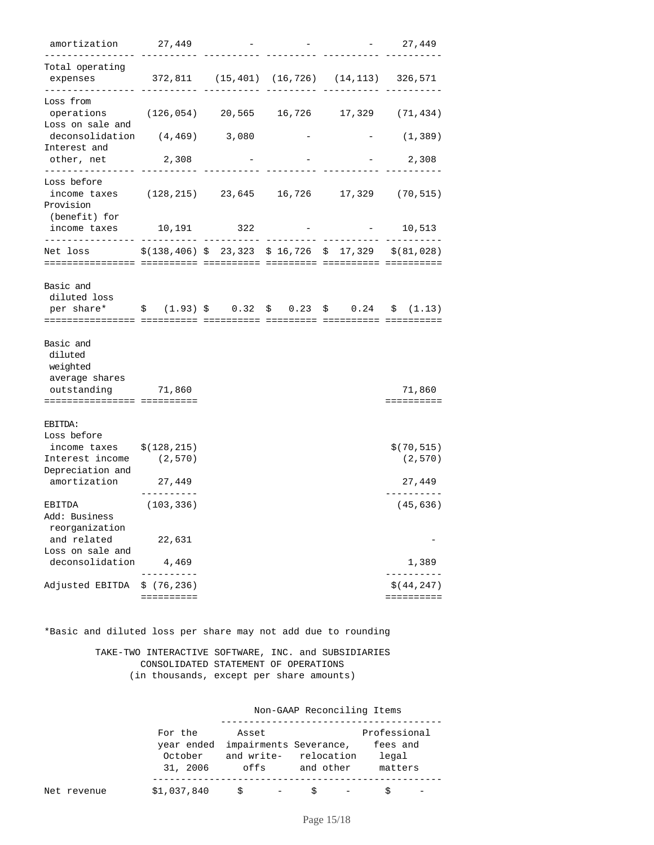| amortization 27,449                                                                                                           |                           |                                                                                                               |  | $-27,449$                        |
|-------------------------------------------------------------------------------------------------------------------------------|---------------------------|---------------------------------------------------------------------------------------------------------------|--|----------------------------------|
| Total operating<br>expenses<br>. _ _ _ _ _ _ _ _ _ _ _ _ _ _ _                                                                |                           | 372,811 (15,401) (16,726) (14,113) 326,571                                                                    |  |                                  |
| Loss from<br>operations (126,054) 20,565 16,726 17,329 (71,434)<br>Loss on sale and                                           |                           |                                                                                                               |  |                                  |
| deconsolidation (4,469) 3,080<br>Interest and                                                                                 |                           |                                                                                                               |  | (1, 389)                         |
| other, net                                                                                                                    | 2,308                     |                                                                                                               |  | 2,308                            |
| Loss before<br>income taxes (128,215) 23,645 16,726 17,329 (70,515)<br>Provision<br>(benefit) for                             |                           |                                                                                                               |  |                                  |
| income taxes                                                                                                                  | 10,191 322                |                                                                                                               |  | $-10,513$                        |
| . _ _ _ _ _ _ _ _ _ _ _ _ _ _ _ _ _ _<br>Net loss                                                                             |                           | $\frac{1}{2}$ (138,406) $\frac{1}{2}$ 23,323 $\frac{1}{2}$ 16,726 $\frac{1}{2}$ 17,329 $\frac{1}{2}$ (81,028) |  |                                  |
| Basic and<br>diluted loss<br>per share* $\qquad$ \$ (1.93) \$ 0.32 \$ 0.23 \$ 0.24 \$ (1.13)                                  |                           |                                                                                                               |  |                                  |
| Basic and<br>diluted<br>weighted<br>average shares<br>outstanding 71,860<br>============================                      |                           |                                                                                                               |  | 71,860<br>==========             |
| EBITDA:<br>Loss before<br>income taxes $\frac{1}{2}$ (128,215)<br>Interest income (2,570)<br>Depreciation and<br>amortization | 27,449                    |                                                                                                               |  | \$(70, 515)<br>(2,570)<br>27,449 |
| EBITDA<br>Add: Business<br>reorganization                                                                                     | (103, 336)                |                                                                                                               |  | (45, 636)                        |
| and related<br>Loss on sale and                                                                                               | 22,631                    |                                                                                                               |  |                                  |
| deconsolidation                                                                                                               | 4,469                     |                                                                                                               |  | 1,389                            |
| Adjusted EBITDA                                                                                                               | \$(76, 236)<br>========== |                                                                                                               |  | \$ (44, 247)<br>==========       |

\*Basic and diluted loss per share may not add due to rounding

 TAKE-TWO INTERACTIVE SOFTWARE, INC. and SUBSIDIARIES CONSOLIDATED STATEMENT OF OPERATIONS (in thousands, except per share amounts)

Non-GAAP Reconciling Items

|             | For the     | Asset                             |                       | Professional |
|-------------|-------------|-----------------------------------|-----------------------|--------------|
|             |             | year ended impairments Severance, |                       | fees and     |
|             | October     |                                   | and write- relocation | legal        |
|             | 31, 2006    | offs                              | and other             | matters      |
|             |             |                                   |                       |              |
| Net revenue | \$1,037,840 | S<br>$\overline{\phantom{a}}$     | S                     |              |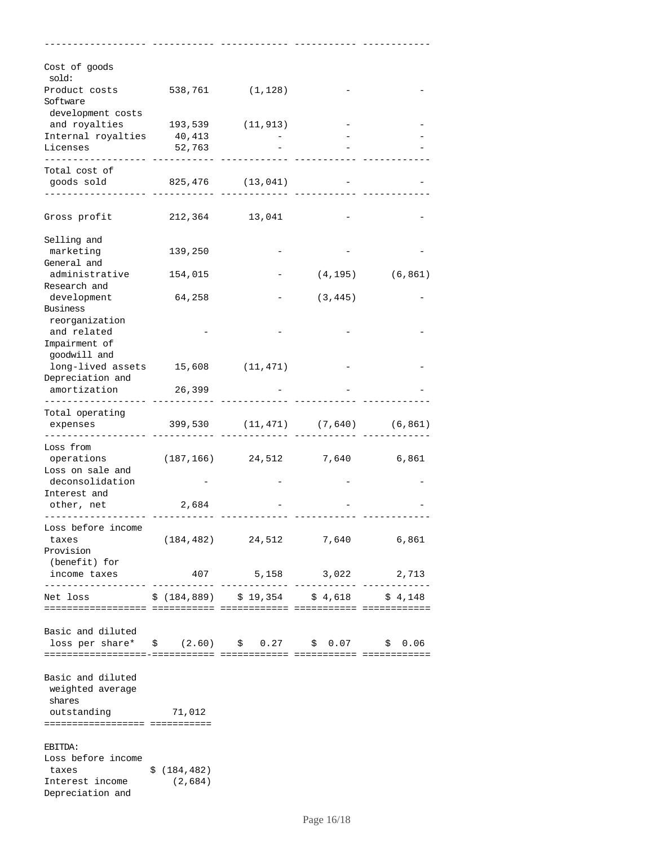| Cost of goods<br>sold:                                 |              |                                       |          |          |
|--------------------------------------------------------|--------------|---------------------------------------|----------|----------|
| Product costs<br>Software                              |              | 538,761 (1,128)                       |          |          |
| development costs                                      |              |                                       |          |          |
| and royalties 193,539 (11,913)                         |              |                                       |          |          |
| Internal royalties 40,413                              |              |                                       |          |          |
| Licenses                                               | 52,763       |                                       |          |          |
| Total cost of                                          |              |                                       |          |          |
| goods sold 825,476 (13,041)                            |              |                                       |          |          |
|                                                        |              |                                       |          |          |
| Gross profit                                           |              | 212,364 13,041                        |          |          |
|                                                        |              |                                       |          |          |
| Selling and                                            |              |                                       |          |          |
| marketing                                              | 139,250      |                                       |          |          |
| General and                                            |              |                                       |          |          |
| administrative                                         | 154,015      |                                       | (4, 195) | (6, 861) |
| Research and                                           |              |                                       |          |          |
| development<br>Business                                | 64,258       |                                       | (3, 445) |          |
| reorganization                                         |              |                                       |          |          |
| and related                                            |              |                                       |          |          |
| Impairment of                                          |              |                                       |          |          |
| goodwill and                                           |              |                                       |          |          |
| long-lived assets 15,608 (11,471)                      |              |                                       |          |          |
| Depreciation and                                       |              |                                       |          |          |
| amortization                                           | 26,399       |                                       |          |          |
| Total operating                                        |              |                                       |          |          |
| expenses                                               |              | 399,530 (11,471) (7,640) (6,861)      |          |          |
|                                                        |              |                                       |          |          |
| Loss from                                              |              |                                       |          |          |
| operations                                             |              | $(187, 166)$ 24,512 7,640 6,861       |          |          |
| Loss on sale and                                       |              |                                       |          |          |
| deconsolidation<br>Interest and                        |              |                                       |          |          |
| other, net                                             | 2,684        |                                       |          |          |
|                                                        |              |                                       |          |          |
| Loss before income                                     |              |                                       |          |          |
| taxes                                                  |              | $(184, 482)$ $24, 512$ $7, 640$ 6,861 |          |          |
| Provision                                              |              |                                       |          |          |
| (benefit) for                                          |              |                                       |          |          |
| income taxes<br>--------------------                   |              | 407 5,158 3,022                       |          | 2,713    |
| Net loss \$ (184,889) \$ 19,354 \$ 4,618 \$ 4,148      |              |                                       |          |          |
|                                                        |              |                                       |          |          |
|                                                        |              |                                       |          |          |
| Basic and diluted                                      |              |                                       |          |          |
| loss per share* $\,$ \$ (2.60) \$ 0.27 \$ 0.07 \$ 0.06 |              |                                       |          |          |
|                                                        |              |                                       |          |          |
| Basic and diluted                                      |              |                                       |          |          |
| weighted average                                       |              |                                       |          |          |
| shares                                                 |              |                                       |          |          |
| outstanding 71,012                                     |              |                                       |          |          |
| ================================                       |              |                                       |          |          |
| EBITDA:                                                |              |                                       |          |          |
| Loss before income                                     |              |                                       |          |          |
| taxes                                                  | \$(184, 482) |                                       |          |          |
| Interest income                                        | (2,684)      |                                       |          |          |
| Depreciation and                                       |              |                                       |          |          |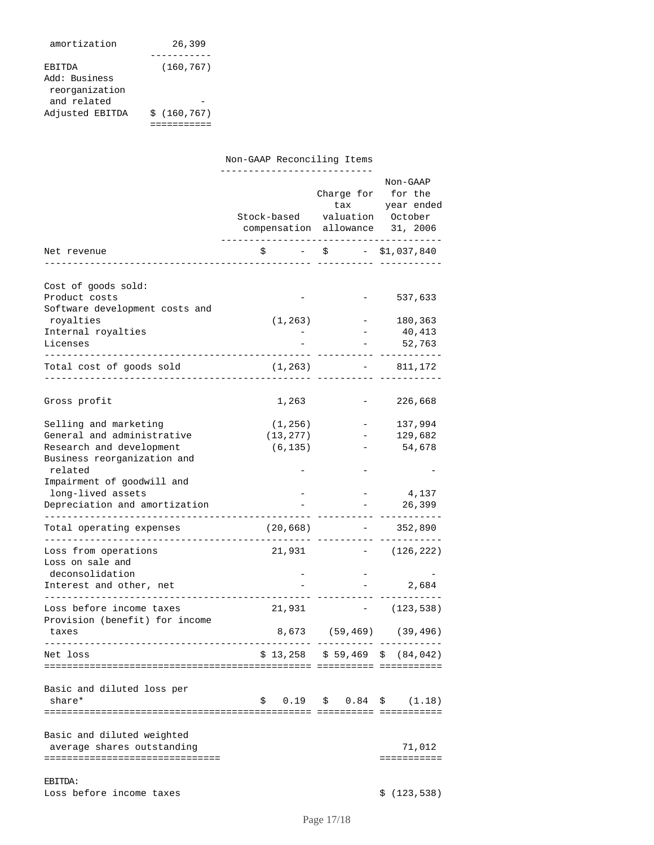| amortization    | 26,399      |
|-----------------|-------------|
|                 |             |
| <b>ERITDA</b>   | (160, 767)  |
| Add: Business   |             |
| reorganization  |             |
| and related     |             |
| Adjusted EBITDA | \$(160.767) |
|                 |             |

|                                                                        | Non-GAAP Reconciling Items<br>---------------                    |            |                                       |
|------------------------------------------------------------------------|------------------------------------------------------------------|------------|---------------------------------------|
|                                                                        | Stock-based valuation October<br>compensation allowance 31, 2006 | Charge for | Non-GAAP<br>for the<br>tax year ended |
| Net revenue                                                            | $\zeta$ - $\zeta$ - $\zeta$ 1,037,840                            |            |                                       |
|                                                                        |                                                                  |            |                                       |
| Cost of goods sold:<br>Product costs<br>Software development costs and |                                                                  |            | 537,633                               |
| royalties                                                              | (1, 263)                                                         |            | 180,363                               |
| Internal royalties                                                     |                                                                  |            | 40,413                                |
| Licenses                                                               |                                                                  |            | - 52,763                              |
| -------------------------<br>Total cost of goods sold                  | (1, 263)                                                         |            | $-811,172$                            |
| Gross profit                                                           | 1,263                                                            |            | 226,668                               |
| Selling and marketing                                                  | (1, 256)                                                         |            | 137,994                               |
| General and administrative                                             | (13, 277)                                                        |            | 129,682                               |
| Research and development                                               | (6, 135)                                                         |            | 54,678                                |
| Business reorganization and                                            |                                                                  |            |                                       |
| related                                                                |                                                                  |            |                                       |
| Impairment of goodwill and                                             |                                                                  |            |                                       |
| long-lived assets                                                      |                                                                  |            | 4,137                                 |
| Depreciation and amortization                                          |                                                                  |            | 26,399                                |
| Total operating expenses                                               | (20, 668)                                                        |            | $-352,890$                            |
| Loss from operations<br>Loss on sale and                               | 21,931                                                           | $\sim$     | (126, 222)                            |
| deconsolidation                                                        |                                                                  |            |                                       |
| Interest and other, net                                                |                                                                  |            | 2,684                                 |
| Loss before income taxes                                               | 21,931                                                           |            | $-$ (123,538)                         |
| Provision (benefit) for income<br>taxes                                |                                                                  |            | 8,673 (59,469) (39,496)               |
| Net loss                                                               |                                                                  |            | $$13,258$ $$59,469$ $$(84,042)$       |
|                                                                        |                                                                  |            |                                       |
| Basic and diluted loss per                                             |                                                                  |            |                                       |
| share*                                                                 | \$                                                               |            | (1.18)                                |
|                                                                        |                                                                  |            |                                       |
|                                                                        |                                                                  |            |                                       |
| Basic and diluted weighted<br>average shares outstanding               |                                                                  |            | 71,012                                |
| ================================                                       |                                                                  |            | ===========                           |
| EBITDA:                                                                |                                                                  |            |                                       |
| Loss before income taxes                                               |                                                                  |            | \$(123, 538)                          |